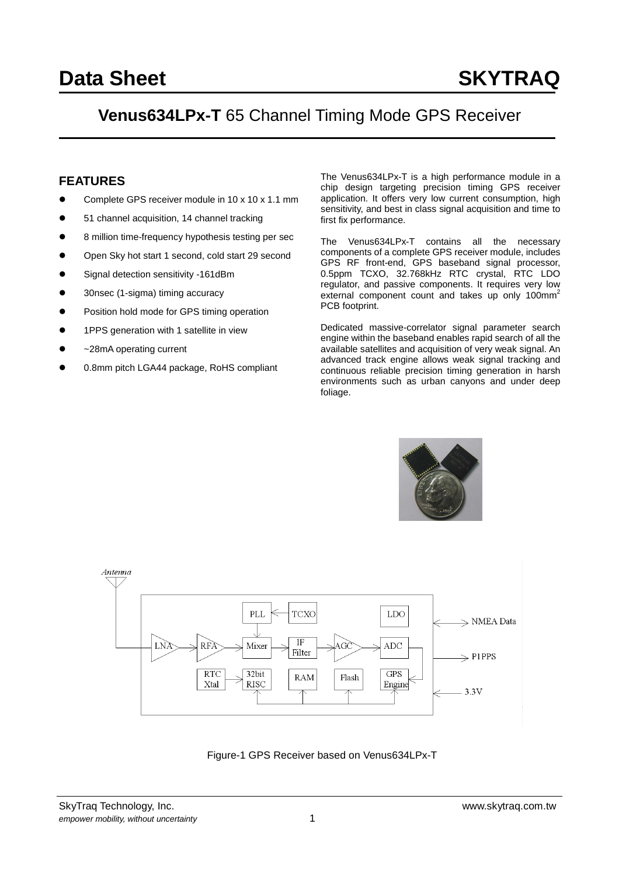## **Venus634LPx-T** 65 Channel Timing Mode GPS Receiver

#### **FEATURES**

- Complete GPS receiver module in 10 x 10 x 1.1 mm
- 51 channel acquisition, 14 channel tracking
- 8 million time-frequency hypothesis testing per sec
- Open Sky hot start 1 second, cold start 29 second
- Signal detection sensitivity -161dBm
- 30nsec (1-sigma) timing accuracy
- Position hold mode for GPS timing operation
- 1PPS generation with 1 satellite in view
- ~28mA operating current
- 0.8mm pitch LGA44 package, RoHS compliant

The Venus634LPx-T is a high performance module in a chip design targeting precision timing GPS receiver application. It offers very low current consumption, high sensitivity, and best in class signal acquisition and time to first fix performance.

The Venus634LPx-T contains all the necessary components of a complete GPS receiver module, includes GPS RF front-end, GPS baseband signal processor, 0.5ppm TCXO, 32.768kHz RTC crystal, RTC LDO regulator, and passive components. It requires very low external component count and takes up only  $100mm<sup>2</sup>$ PCB footprint.

Dedicated massive-correlator signal parameter search engine within the baseband enables rapid search of all the available satellites and acquisition of very weak signal. An advanced track engine allows weak signal tracking and continuous reliable precision timing generation in harsh environments such as urban canyons and under deep foliage.





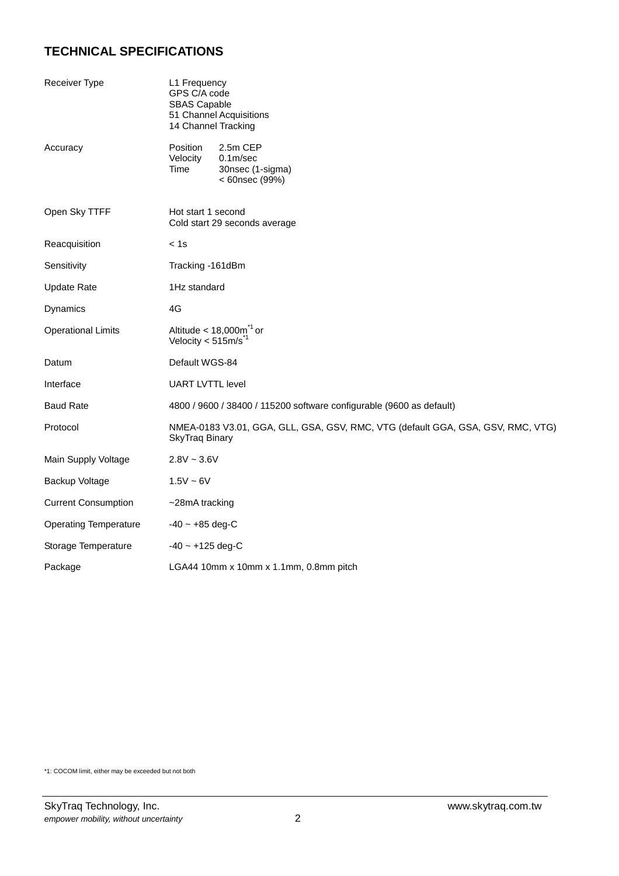## **TECHNICAL SPECIFICATIONS**

| Receiver Type                | L1 Frequency<br>GPS C/A code<br><b>SBAS Capable</b><br>51 Channel Acquisitions<br>14 Channel Tracking    |  |  |  |  |  |  |
|------------------------------|----------------------------------------------------------------------------------------------------------|--|--|--|--|--|--|
| Accuracy                     | Position<br>2.5m CEP<br>Velocity<br>0.1 <sub>m</sub> /sec<br>Time<br>30nsec (1-sigma)<br>< 60nsec (99%)  |  |  |  |  |  |  |
| Open Sky TTFF                | Hot start 1 second<br>Cold start 29 seconds average                                                      |  |  |  |  |  |  |
| Reacquisition                | < 1s                                                                                                     |  |  |  |  |  |  |
| Sensitivity                  | Tracking -161dBm                                                                                         |  |  |  |  |  |  |
| <b>Update Rate</b>           | 1Hz standard                                                                                             |  |  |  |  |  |  |
| Dynamics                     | 4G                                                                                                       |  |  |  |  |  |  |
| <b>Operational Limits</b>    | Altitude $<$ 18,000 $\text{m}^{\text{-}1}$ or<br>Velocity $<$ 515m/s <sup><math>*1</math></sup>          |  |  |  |  |  |  |
| Datum                        | Default WGS-84                                                                                           |  |  |  |  |  |  |
| Interface                    | <b>UART LVTTL level</b>                                                                                  |  |  |  |  |  |  |
| <b>Baud Rate</b>             | 4800 / 9600 / 38400 / 115200 software configurable (9600 as default)                                     |  |  |  |  |  |  |
| Protocol                     | NMEA-0183 V3.01, GGA, GLL, GSA, GSV, RMC, VTG (default GGA, GSA, GSV, RMC, VTG)<br><b>SkyTraq Binary</b> |  |  |  |  |  |  |
| Main Supply Voltage          | $2.8V - 3.6V$                                                                                            |  |  |  |  |  |  |
| Backup Voltage               | $1.5V - 6V$                                                                                              |  |  |  |  |  |  |
| <b>Current Consumption</b>   | ~28mA tracking                                                                                           |  |  |  |  |  |  |
| <b>Operating Temperature</b> | $-40 - +85$ deg-C                                                                                        |  |  |  |  |  |  |
| Storage Temperature          | $-40$ ~ $+125$ deg-C                                                                                     |  |  |  |  |  |  |
| Package                      | LGA44 10mm x 10mm x 1.1mm, 0.8mm pitch                                                                   |  |  |  |  |  |  |

\*1: COCOM limit, either may be exceeded but not both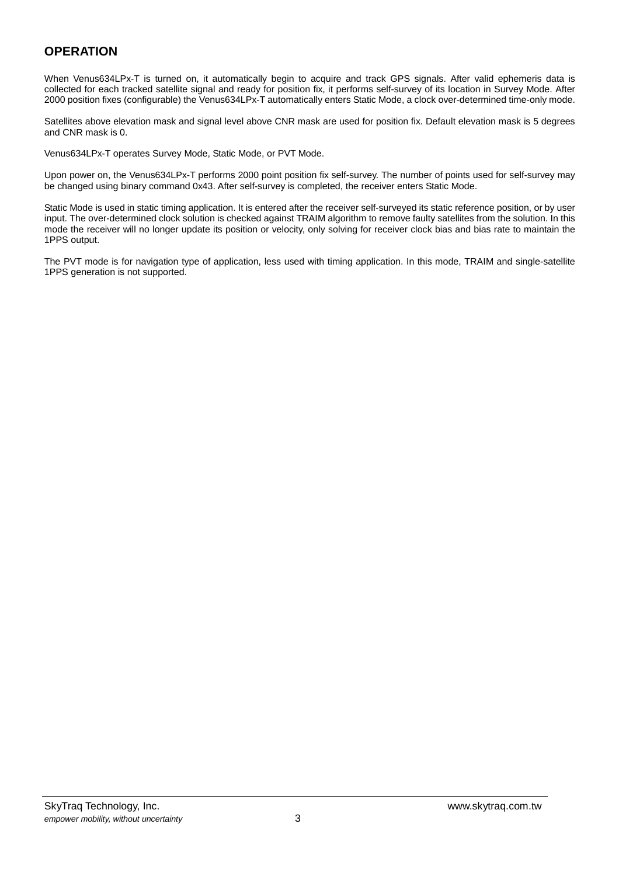#### **OPERATION**

When Venus634LPx-T is turned on, it automatically begin to acquire and track GPS signals. After valid ephemeris data is collected for each tracked satellite signal and ready for position fix, it performs self-survey of its location in Survey Mode. After 2000 position fixes (configurable) the Venus634LPx-T automatically enters Static Mode, a clock over-determined time-only mode.

Satellites above elevation mask and signal level above CNR mask are used for position fix. Default elevation mask is 5 degrees and CNR mask is 0.

Venus634LPx-T operates Survey Mode, Static Mode, or PVT Mode.

Upon power on, the Venus634LPx-T performs 2000 point position fix self-survey. The number of points used for self-survey may be changed using binary command 0x43. After self-survey is completed, the receiver enters Static Mode.

Static Mode is used in static timing application. It is entered after the receiver self-surveyed its static reference position, or by user input. The over-determined clock solution is checked against TRAIM algorithm to remove faulty satellites from the solution. In this mode the receiver will no longer update its position or velocity, only solving for receiver clock bias and bias rate to maintain the 1PPS output.

The PVT mode is for navigation type of application, less used with timing application. In this mode, TRAIM and single-satellite 1PPS generation is not supported.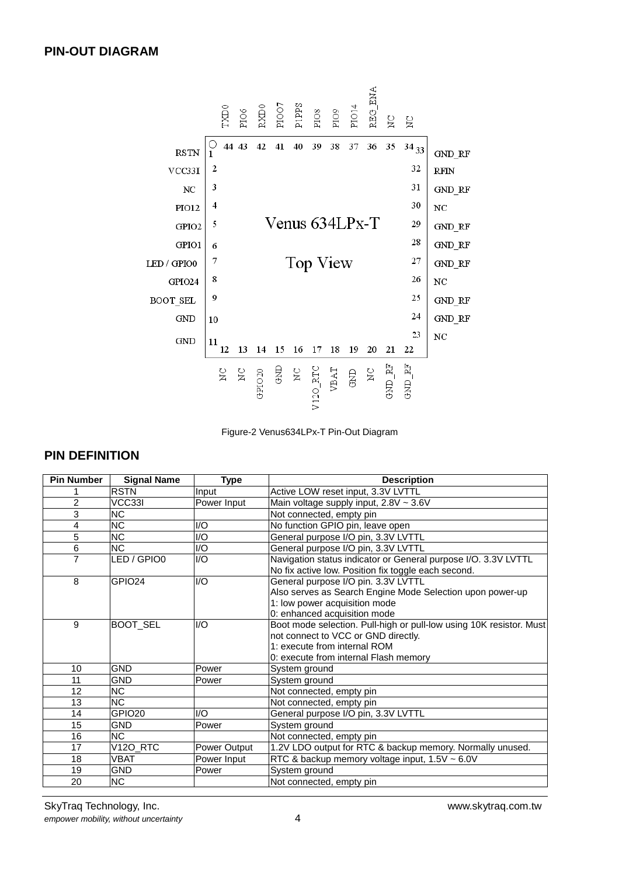

Figure-2 Venus634LPx-T Pin-Out Diagram

## **PIN DEFINITION**

| <b>Pin Number</b> | <b>Signal Name</b> | <b>Type</b>             | <b>Description</b>                                                                                                    |
|-------------------|--------------------|-------------------------|-----------------------------------------------------------------------------------------------------------------------|
|                   | <b>RSTN</b>        | Input                   | Active LOW reset input, 3.3V LVTTL                                                                                    |
| $\overline{2}$    | VCC33I             | Power Input             | Main voltage supply input, $2.8V \sim 3.6V$                                                                           |
| 3                 | <b>NC</b>          |                         | Not connected, empty pin                                                                                              |
| 4                 | <b>NC</b>          | I/O                     | No function GPIO pin, leave open                                                                                      |
| 5                 | <b>NC</b>          | I/O                     | General purpose I/O pin, 3.3V LVTTL                                                                                   |
| 6                 | <b>NC</b>          | I/O                     | General purpose I/O pin, 3.3V LVTTL                                                                                   |
| 7                 | LED / GPIO0        | 1/O                     | Navigation status indicator or General purpose I/O. 3.3V LVTTL<br>No fix active low. Position fix toggle each second. |
| 8                 | GPIO <sub>24</sub> | $\mathsf{I}/\mathsf{O}$ | General purpose I/O pin. 3.3V LVTTL                                                                                   |
|                   |                    |                         | Also serves as Search Engine Mode Selection upon power-up                                                             |
|                   |                    |                         | 1: low power acquisition mode                                                                                         |
|                   |                    |                         | 0: enhanced acquisition mode                                                                                          |
| 9                 | <b>BOOT SEL</b>    | $\mathsf{I}/\mathsf{O}$ | Boot mode selection. Pull-high or pull-low using 10K resistor. Must                                                   |
|                   |                    |                         | not connect to VCC or GND directly.                                                                                   |
|                   |                    |                         | 1: execute from internal ROM                                                                                          |
|                   |                    |                         | 0: execute from internal Flash memory                                                                                 |
| 10                | <b>GND</b>         | Power                   | System ground                                                                                                         |
| 11                | <b>GND</b>         | Power                   | System ground                                                                                                         |
| 12                | ΝC                 |                         | Not connected, empty pin                                                                                              |
| 13                | <b>NC</b>          |                         | Not connected, empty pin                                                                                              |
| 14                | GPIO <sub>20</sub> | 1/O                     | General purpose I/O pin, 3.3V LVTTL                                                                                   |
| 15                | <b>GND</b>         | Power                   | System ground                                                                                                         |
| 16                | <b>NC</b>          |                         | Not connected, empty pin                                                                                              |
| 17                | $V12O_R}$ RTC      | Power Output            | 1.2V LDO output for RTC & backup memory. Normally unused.                                                             |
| 18                | <b>VBAT</b>        | Power Input             | RTC & backup memory voltage input, 1.5V ~ 6.0V                                                                        |
| 19                | <b>GND</b>         | Power                   | System ground                                                                                                         |
| 20                | <b>NC</b>          |                         | Not connected, empty pin                                                                                              |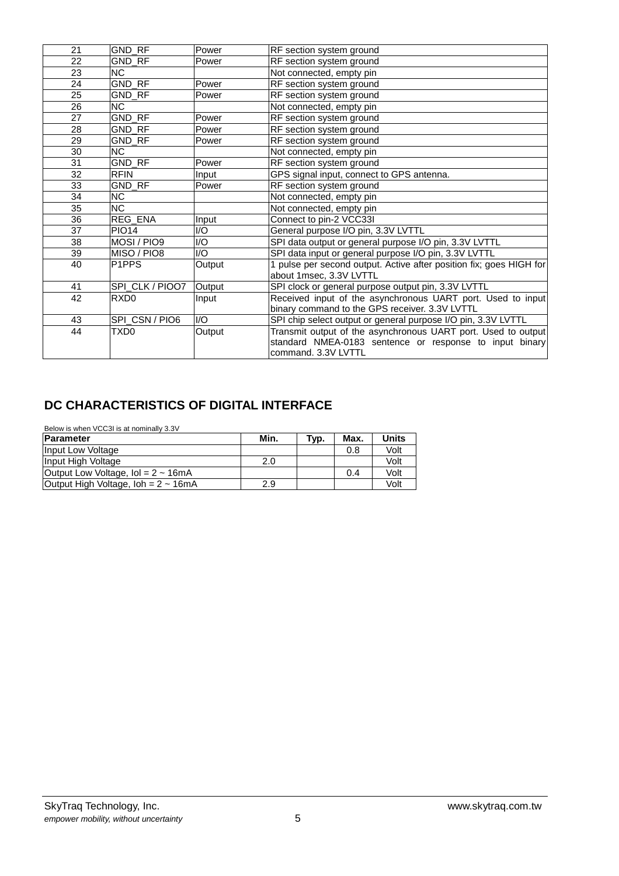| 21 | GND_RF                 | Power          | RF section system ground                                            |
|----|------------------------|----------------|---------------------------------------------------------------------|
| 22 | GND_RF                 | Power          | RF section system ground                                            |
| 23 | <b>NC</b>              |                | Not connected, empty pin                                            |
| 24 | GND_RF                 | Power          | RF section system ground                                            |
| 25 | GND RF                 | Power          | RF section system ground                                            |
| 26 | $\overline{\text{NC}}$ |                | Not connected, empty pin                                            |
| 27 | <b>GND RF</b>          | Power          | RF section system ground                                            |
| 28 | GND RF                 | Power          | RF section system ground                                            |
| 29 | GND_RF                 | Power          | RF section system ground                                            |
| 30 | NC                     |                | Not connected, empty pin                                            |
| 31 | <b>GND RF</b>          | Power          | RF section system ground                                            |
| 32 | <b>RFIN</b>            | Input          | GPS signal input, connect to GPS antenna.                           |
| 33 | <b>GND RF</b>          | Power          | RF section system ground                                            |
| 34 | NC                     |                | Not connected, empty pin                                            |
| 35 | $\overline{\text{NC}}$ |                | Not connected, empty pin                                            |
| 36 | <b>REG ENA</b>         | Input          | Connect to pin-2 VCC33I                                             |
| 37 | <b>PIO14</b>           | I/O            | General purpose I/O pin, 3.3V LVTTL                                 |
| 38 | MOSI / PIO9            | I/O            | SPI data output or general purpose I/O pin, 3.3V LVTTL              |
| 39 | MISO / PIO8            | I/O            | SPI data input or general purpose I/O pin, 3.3V LVTTL               |
| 40 | P <sub>1</sub> PPS     | Output         | 1 pulse per second output. Active after position fix; goes HIGH for |
|    |                        |                | about 1msec, 3.3V LVTTL                                             |
| 41 | SPI_CLK / PIOO7        | Output         | SPI clock or general purpose output pin, 3.3V LVTTL                 |
| 42 | RXD <sub>0</sub>       | Input          | Received input of the asynchronous UART port. Used to input         |
|    |                        |                | binary command to the GPS receiver. 3.3V LVTTL                      |
| 43 | SPI_CSN / PIO6         | $\overline{U}$ | SPI chip select output or general purpose I/O pin, 3.3V LVTTL       |
| 44 | TXD <sub>0</sub>       | Output         | Transmit output of the asynchronous UART port. Used to output       |
|    |                        |                | standard NMEA-0183 sentence or response to input binary             |
|    |                        |                | command. 3.3V LVTTL                                                 |

## **DC CHARACTERISTICS OF DIGITAL INTERFACE**

| Below is when VCC3I is at nominally 3.3V                |      |      |      |              |  |  |  |  |
|---------------------------------------------------------|------|------|------|--------------|--|--|--|--|
| Parameter                                               | Min. | Typ. | Max. | <b>Units</b> |  |  |  |  |
| Input Low Voltage                                       |      |      | 0.8  | Volt         |  |  |  |  |
| Input High Voltage                                      | 2.0  |      |      | Volt         |  |  |  |  |
| Output Low Voltage, $Iol = 2 \sim 16mA$                 |      |      | 0.4  | Volt         |  |  |  |  |
| Output High Voltage, $\text{loh} = 2 \sim 16 \text{mA}$ | 2.9  |      |      | Volt         |  |  |  |  |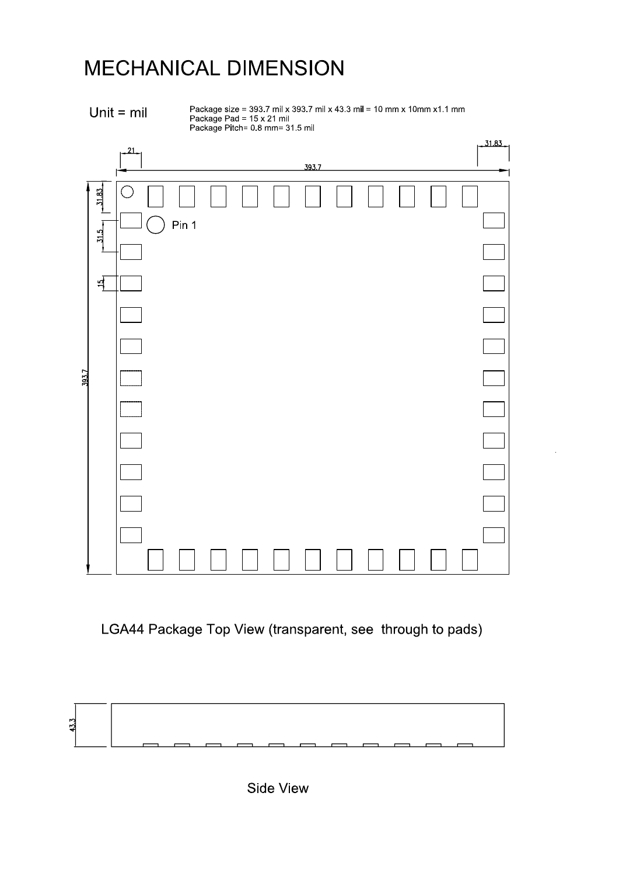# MECHANICAL DIMENSION



Package size = 393.7 mil x 393.7 mil x 43.3 mil = 10 mm x 10mm x1.1 mm<br>Package Pad = 15 x 21 mil<br>Package Pitch= 0.8 mm= 31.5 mil

|       |                              | 21        |       |  |       |  |  | .31.83. |
|-------|------------------------------|-----------|-------|--|-------|--|--|---------|
|       |                              |           |       |  | 393.7 |  |  |         |
|       | $-31.83$<br>$\frac{11.5}{2}$ | $\subset$ | Pin 1 |  |       |  |  |         |
|       |                              |           |       |  |       |  |  |         |
|       | $\frac{1}{2}$                |           |       |  |       |  |  |         |
|       |                              |           |       |  |       |  |  |         |
|       |                              |           |       |  |       |  |  |         |
| 393.7 |                              |           |       |  |       |  |  |         |
|       |                              |           |       |  |       |  |  |         |
|       |                              |           |       |  |       |  |  |         |
|       |                              |           |       |  |       |  |  |         |
|       |                              |           |       |  |       |  |  |         |
|       |                              |           |       |  |       |  |  |         |
|       |                              |           |       |  |       |  |  |         |
|       |                              |           |       |  |       |  |  |         |
|       |                              |           |       |  |       |  |  |         |

LGA44 Package Top View (transparent, see through to pads)



**Side View**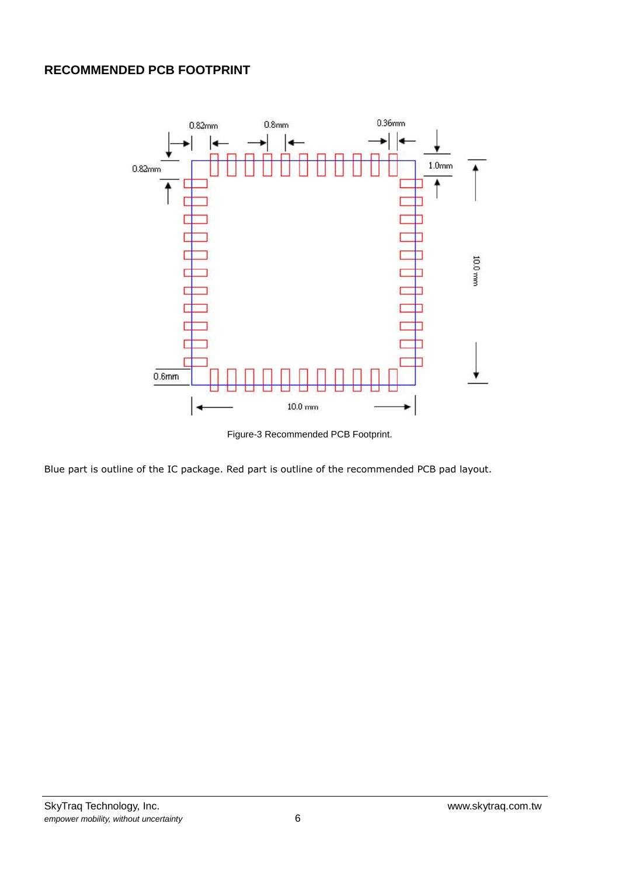## **RECOMMENDED PCB FOOTPRINT**



Figure-3 Recommended PCB Footprint.

Blue part is outline of the IC package. Red part is outline of the recommended PCB pad layout.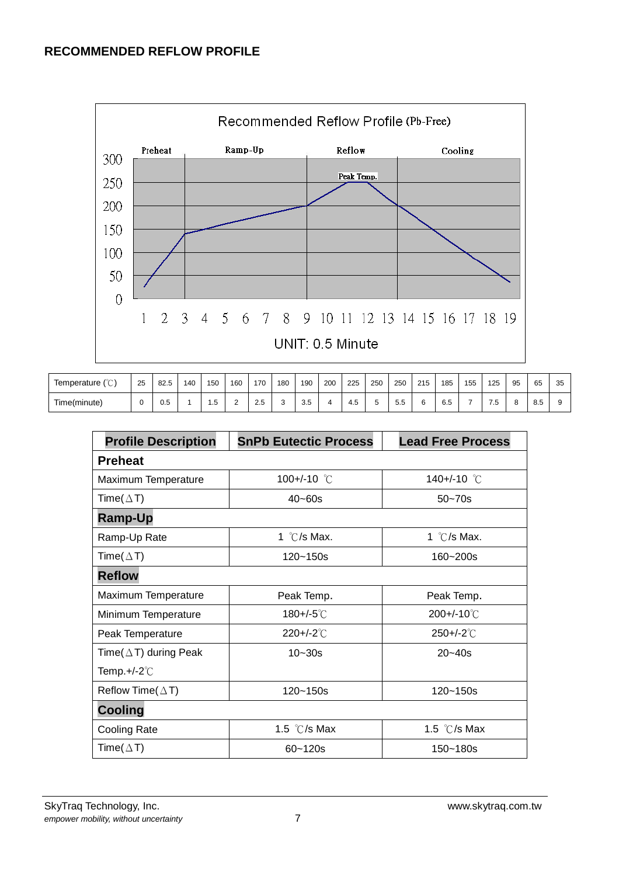#### **RECOMMENDED REFLOW PROFILE**



| Temperature $(\mathcal{C})$ | 25 | 82.5 | 140 | 150 | 160 | 170 | 180 | 190 | 200 | 225 | 250 | 250              | 215 | 185 | 155 | 125       | 95            | 65  | 35 |
|-----------------------------|----|------|-----|-----|-----|-----|-----|-----|-----|-----|-----|------------------|-----|-----|-----|-----------|---------------|-----|----|
| Time(minute)                |    | U.5  |     | . ت | -   | 2.5 |     | 3.5 |     | 4.5 |     | -<br>55 h<br>ບ.ບ | ∽   | 6.5 |     | ∽<br>ن. ا | $\Omega$<br>o | 8.5 |    |

| <b>Profile Description</b>    | <b>SnPb Eutectic Process</b> | <b>Lead Free Process</b> |  |  |
|-------------------------------|------------------------------|--------------------------|--|--|
| <b>Preheat</b>                |                              |                          |  |  |
| Maximum Temperature           | 100+/-10 $\degree$ C         | 140+/-10 °C              |  |  |
| Time( $\Delta$ T)             | $40 - 60s$                   | $50 - 70s$               |  |  |
| <b>Ramp-Up</b>                |                              |                          |  |  |
| Ramp-Up Rate                  | 1 $\degree$ C/s Max.         | 1 $\degree$ C/s Max.     |  |  |
| Time( $\Delta$ T)             | $120 - 150s$                 | 160~200s                 |  |  |
| <b>Reflow</b>                 |                              |                          |  |  |
| Maximum Temperature           | Peak Temp.                   | Peak Temp.               |  |  |
| Minimum Temperature           | $180 + (-5^{\circ}C)$        | $200 + (-10^{\circ}C)$   |  |  |
| Peak Temperature              | $220 + (-2^{\circ}C)$        | 250+/-2°C                |  |  |
| Time( $\Delta$ T) during Peak | $10 - 30s$                   | $20 - 40s$               |  |  |
| Temp.+/-2 $\degree$ C         |                              |                          |  |  |
| Reflow Time( $\triangle T$ )  | 120~150s                     | $120 - 150s$             |  |  |
| <b>Cooling</b>                |                              |                          |  |  |
| <b>Cooling Rate</b>           | 1.5 $\degree$ C/s Max        | 1.5 $\degree$ C/s Max    |  |  |
| Time( $\Delta$ T)             | $60 - 120s$                  | 150~180s                 |  |  |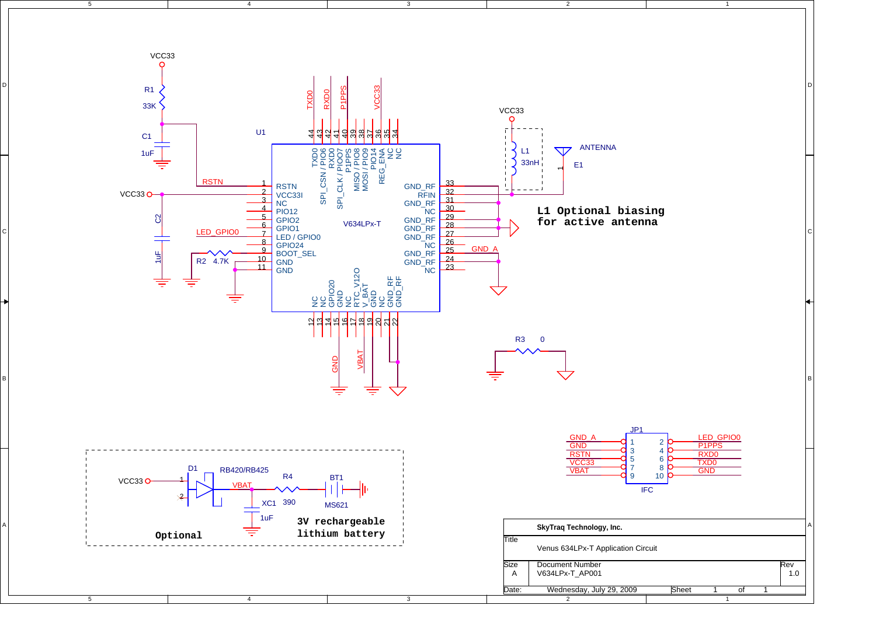

D

C

B

A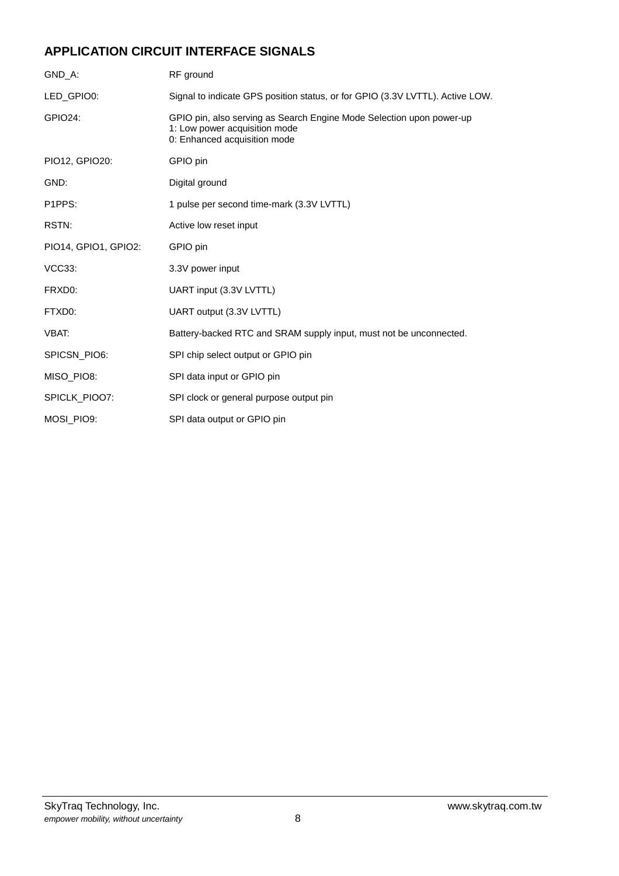## **APPLICATION CIRCUIT INTERFACE SIGNALS**

| GND A:                           | RF ground                                                                                                                             |
|----------------------------------|---------------------------------------------------------------------------------------------------------------------------------------|
| LED_GPIO0:                       | Signal to indicate GPS position status, or for GPIO (3.3V LVTTL). Active LOW.                                                         |
| <b>GPIO24:</b>                   | GPIO pin, also serving as Search Engine Mode Selection upon power-up<br>1: Low power acquisition mode<br>0: Enhanced acquisition mode |
| PIO12, GPIO20:                   | GPIO pin                                                                                                                              |
| GND:                             | Digital ground                                                                                                                        |
| P <sub>1</sub> PP <sub>S</sub> : | 1 pulse per second time-mark (3.3V LVTTL)                                                                                             |
| RSTN:                            | Active low reset input                                                                                                                |
| PIO14, GPIO1, GPIO2:             | GPIO pin                                                                                                                              |
| <b>VCC33:</b>                    | 3.3V power input                                                                                                                      |
| FRXD0:                           | UART input (3.3V LVTTL)                                                                                                               |
| FTXD0:                           | UART output (3.3V LVTTL)                                                                                                              |
| VBAT:                            | Battery-backed RTC and SRAM supply input, must not be unconnected.                                                                    |
| SPICSN_PIO6:                     | SPI chip select output or GPIO pin                                                                                                    |
| MISO_PIO8:                       | SPI data input or GPIO pin                                                                                                            |
| SPICLK_PIOO7:                    | SPI clock or general purpose output pin                                                                                               |
| MOSI PIO9:                       | SPI data output or GPIO pin                                                                                                           |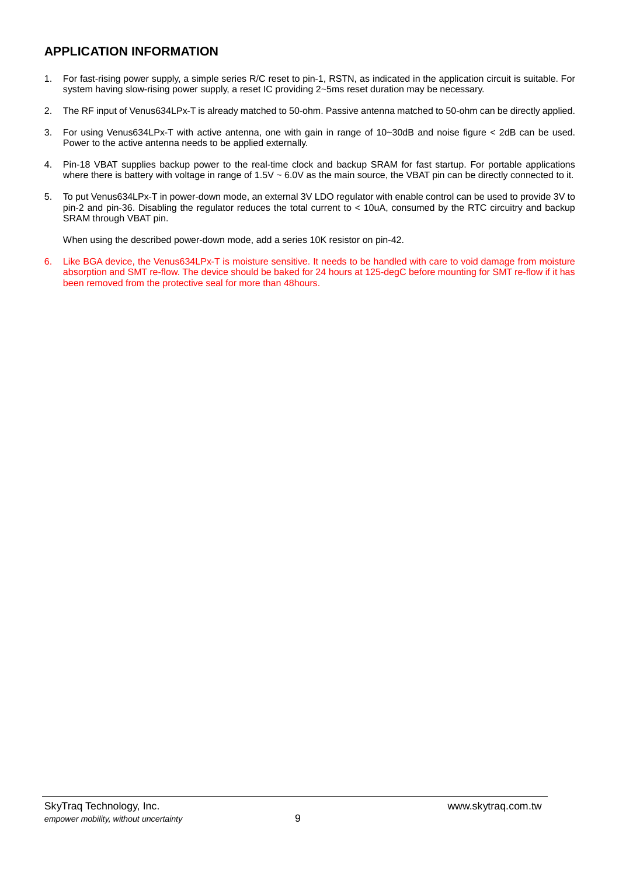## **APPLICATION INFORMATION**

- 1. For fast-rising power supply, a simple series R/C reset to pin-1, RSTN, as indicated in the application circuit is suitable. For system having slow-rising power supply, a reset IC providing 2~5ms reset duration may be necessary.
- 2. The RF input of Venus634LPx-T is already matched to 50-ohm. Passive antenna matched to 50-ohm can be directly applied.
- 3. For using Venus634LPx-T with active antenna, one with gain in range of 10~30dB and noise figure < 2dB can be used. Power to the active antenna needs to be applied externally.
- 4. Pin-18 VBAT supplies backup power to the real-time clock and backup SRAM for fast startup. For portable applications where there is battery with voltage in range of 1.5V ~ 6.0V as the main source, the VBAT pin can be directly connected to it.
- 5. To put Venus634LPx-T in power-down mode, an external 3V LDO regulator with enable control can be used to provide 3V to pin-2 and pin-36. Disabling the regulator reduces the total current to < 10uA, consumed by the RTC circuitry and backup SRAM through VBAT pin.

When using the described power-down mode, add a series 10K resistor on pin-42.

6. Like BGA device, the Venus634LPx-T is moisture sensitive. It needs to be handled with care to void damage from moisture absorption and SMT re-flow. The device should be baked for 24 hours at 125-degC before mounting for SMT re-flow if it has been removed from the protective seal for more than 48hours.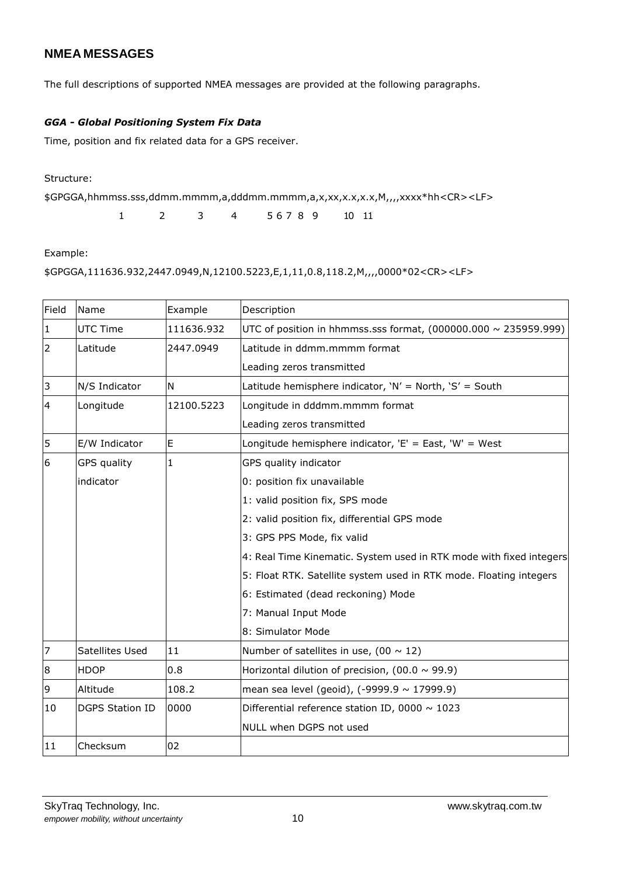## **NMEA MESSAGES**

The full descriptions of supported NMEA messages are provided at the following paragraphs.

#### *GGA - Global Positioning System Fix Data*

Time, position and fix related data for a GPS receiver.

Structure:

\$GPGGA,hhmmss.sss,ddmm.mmmm,a,dddmm.mmmm,a,x,xx,x.x,x.x,M,,,,xxxx\*hh<CR><LF>

1 2 3 4 5 6 7 8 9 10 11

Example:

\$GPGGA,111636.932,2447.0949,N,12100.5223,E,1,11,0.8,118.2,M,,,,0000\*02<CR><LF>

| Field          | Name                   | Example    | Description                                                          |
|----------------|------------------------|------------|----------------------------------------------------------------------|
| $\vert$ 1      | <b>UTC Time</b>        | 111636.932 | UTC of position in hhmmss.sss format, $(000000.000 \sim 235959.999)$ |
| $\overline{2}$ | Latitude               | 2447.0949  | Latitude in ddmm.mmmm format                                         |
|                |                        |            | Leading zeros transmitted                                            |
| 3              | N/S Indicator          | N          | Latitude hemisphere indicator, 'N' = North, 'S' = South              |
| $\overline{4}$ | Longitude              | 12100.5223 | Longitude in dddmm.mmmm format                                       |
|                |                        |            | Leading zeros transmitted                                            |
| 5              | E/W Indicator          | E          | Longitude hemisphere indicator, $'E' = East$ , 'W' = West            |
| 6              | <b>GPS</b> quality     | 1          | GPS quality indicator                                                |
|                | indicator              |            | 0: position fix unavailable                                          |
|                |                        |            | 1: valid position fix, SPS mode                                      |
|                |                        |            | 2: valid position fix, differential GPS mode                         |
|                |                        |            | 3: GPS PPS Mode, fix valid                                           |
|                |                        |            | 4: Real Time Kinematic. System used in RTK mode with fixed integers  |
|                |                        |            | 5: Float RTK. Satellite system used in RTK mode. Floating integers   |
|                |                        |            | 6: Estimated (dead reckoning) Mode                                   |
|                |                        |            | 7: Manual Input Mode                                                 |
|                |                        |            | 8: Simulator Mode                                                    |
| $\overline{7}$ | Satellites Used        | 11         | Number of satellites in use, (00 $\sim$ 12)                          |
| 8              | <b>HDOP</b>            | 0.8        | Horizontal dilution of precision, (00.0 $\sim$ 99.9)                 |
| 9              | Altitude               | 108.2      | mean sea level (geoid), $(-9999.9 \sim 17999.9)$                     |
| 10             | <b>DGPS Station ID</b> | 0000       | Differential reference station ID, 0000 $\sim$ 1023                  |
|                |                        |            | NULL when DGPS not used                                              |
| 11             | Checksum               | 02         |                                                                      |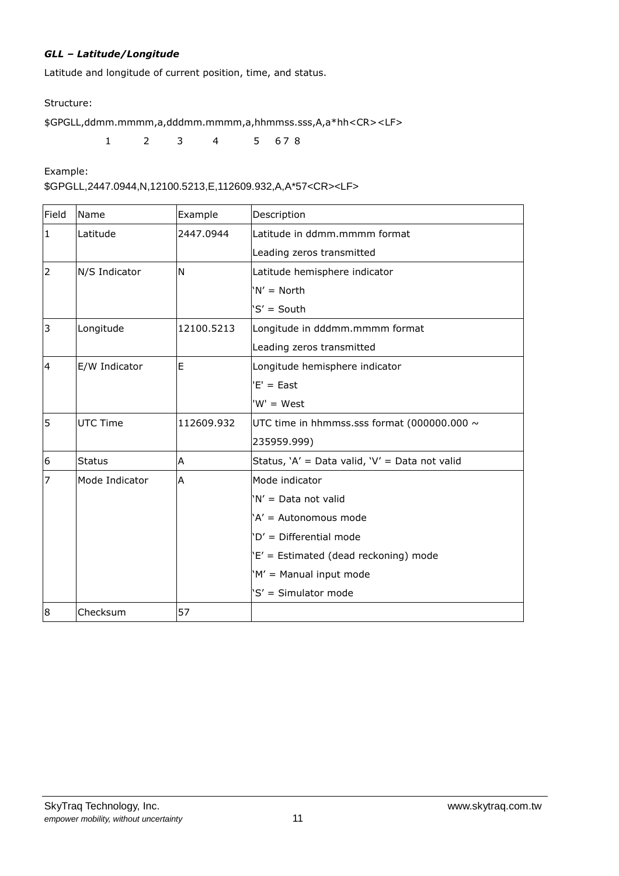#### *GLL – Latitude/Longitude*

Latitude and longitude of current position, time, and status.

Structure:

\$GPGLL,ddmm.mmmm,a,dddmm.mmmm,a,hhmmss.sss,A,a\*hh<CR><LF>

1 2 3 4 5 6 7 8

Example:

\$GPGLL,2447.0944,N,12100.5213,E,112609.932,A,A\*57<CR><LF>

| Field          | Name            | Example    | Description                                      |
|----------------|-----------------|------------|--------------------------------------------------|
| $\mathbf{1}$   | Latitude        | 2447.0944  | Latitude in ddmm.mmmm format                     |
|                |                 |            | Leading zeros transmitted                        |
| $\overline{2}$ | N/S Indicator   | N          | Latitude hemisphere indicator                    |
|                |                 |            | $'N' = North$                                    |
|                |                 |            | 'S' = South                                      |
| 3              | Longitude       | 12100.5213 | Longitude in dddmm.mmmm format                   |
|                |                 |            | Leading zeros transmitted                        |
| 4              | E/W Indicator   | E          | Longitude hemisphere indicator                   |
|                |                 |            | $'E' = East$                                     |
|                |                 |            | $W' = West$                                      |
| 5              | <b>UTC Time</b> | 112609.932 | UTC time in hhmmss.sss format (000000.000 $\sim$ |
|                |                 |            | 235959.999)                                      |
| 6              | <b>Status</b>   | Α          | Status, 'A' = Data valid, 'V' = Data not valid   |
| $\overline{7}$ | Mode Indicator  | А          | Mode indicator                                   |
|                |                 |            | 'N' = Data not valid                             |
|                |                 |            | 'A' = Autonomous mode                            |
|                |                 |            | 'D' = Differential mode                          |
|                |                 |            | 'E' = Estimated (dead reckoning) mode            |
|                |                 |            | 'M' = Manual input mode                          |
|                |                 |            | 'S' = Simulator mode                             |
| 8              | Checksum        | 57         |                                                  |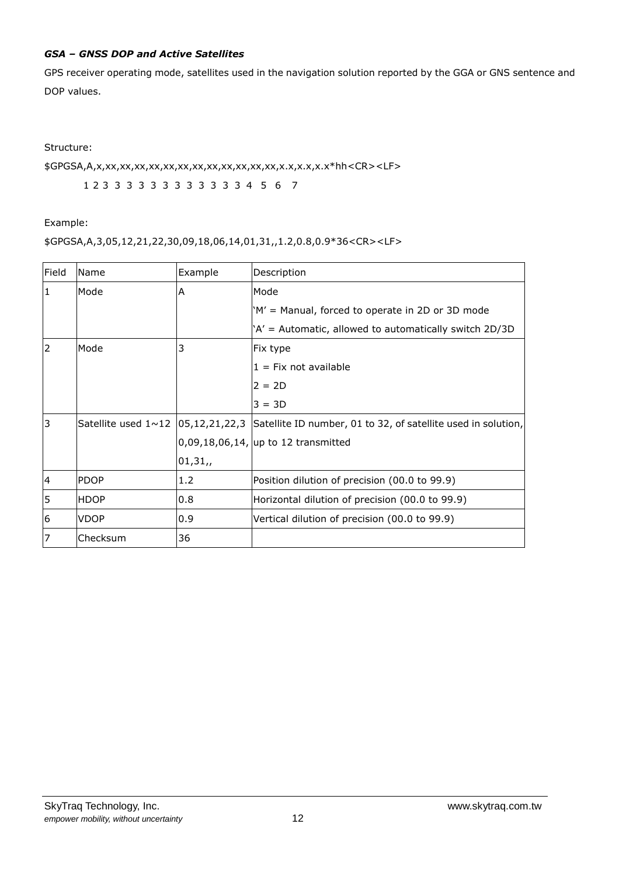#### *GSA – GNSS DOP and Active Satellites*

GPS receiver operating mode, satellites used in the navigation solution reported by the GGA or GNS sentence and DOP values.

Structure:

\$GPGSA,A,x,xx,xx,xx,xx,xx,xx,xx,xx,xx,xx,xx,xx,x.x,x.x,x.x\*hh<CR><LF>

1 2 3 3 3 3 3 3 3 3 3 3 3 3 4 5 6 7

Example:

#### \$GPGSA,A,3,05,12,21,22,30,09,18,06,14,01,31,,1.2,0.8,0.9\*36<CR><LF>

| Field | Name        | Example | Description                                                                                                |
|-------|-------------|---------|------------------------------------------------------------------------------------------------------------|
| 1     | Mode        | Α       | Mode                                                                                                       |
|       |             |         | 'M' = Manual, forced to operate in 2D or 3D mode                                                           |
|       |             |         | 'A' = Automatic, allowed to automatically switch 2D/3D                                                     |
| 2     | Mode        | 3       | Fix type                                                                                                   |
|       |             |         | $1 = Fix not available$                                                                                    |
|       |             |         | $2 = 2D$                                                                                                   |
|       |             |         | $3 = 3D$                                                                                                   |
| 3     |             |         | Satellite used $1 \sim 12$   05,12,21,22,3   Satellite ID number, 01 to 32, of satellite used in solution, |
|       |             |         | $[0,09,18,06,14,$ up to 12 transmitted                                                                     |
|       |             | 01,31,  |                                                                                                            |
| 4     | <b>PDOP</b> | 1.2     | Position dilution of precision (00.0 to 99.9)                                                              |
| 5     | <b>HDOP</b> | 0.8     | Horizontal dilution of precision (00.0 to 99.9)                                                            |
| 6     | <b>VDOP</b> | 0.9     | Vertical dilution of precision (00.0 to 99.9)                                                              |
|       | Checksum    | 36      |                                                                                                            |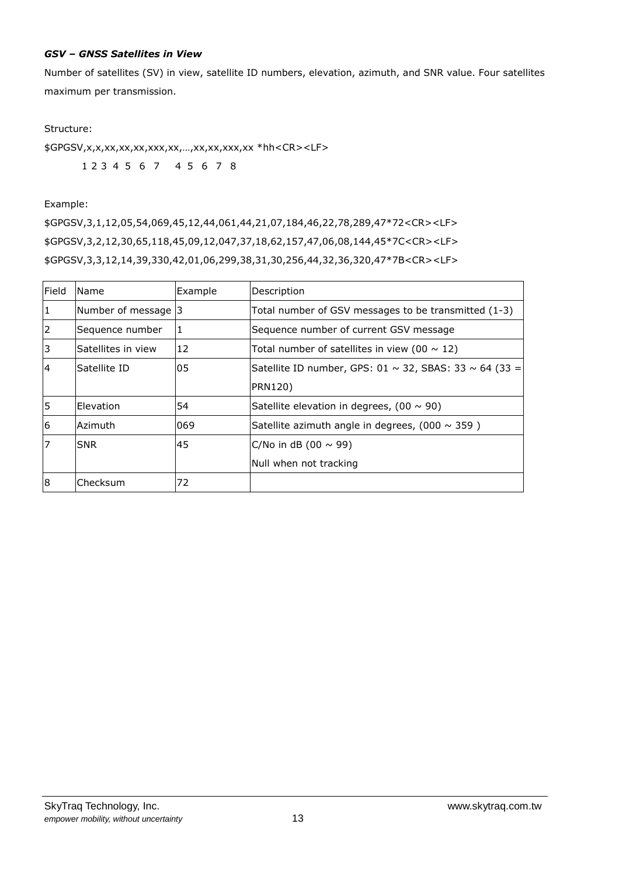#### *GSV – GNSS Satellites in View*

Number of satellites (SV) in view, satellite ID numbers, elevation, azimuth, and SNR value. Four satellites maximum per transmission.

#### Structure:

\$GPGSV,x,x,xx,xx,xx,xxx,xx,…,xx,xx,xxx,xx \*hh<CR><LF> 1 2 3 4 5 6 7 4 5 6 7 8

#### Example:

\$GPGSV,3,1,12,05,54,069,45,12,44,061,44,21,07,184,46,22,78,289,47\*72<CR><LF> \$GPGSV,3,2,12,30,65,118,45,09,12,047,37,18,62,157,47,06,08,144,45\*7C<CR><LF> \$GPGSV,3,3,12,14,39,330,42,01,06,299,38,31,30,256,44,32,36,320,47\*7B<CR><LF>

| Field          | <b>Name</b>        | Example | Description                                                      |
|----------------|--------------------|---------|------------------------------------------------------------------|
|                | Number of message  | 13      | Total number of GSV messages to be transmitted (1-3)             |
| $\overline{2}$ | Sequence number    |         | Sequence number of current GSV message                           |
| 3              | Satellites in view | 12      | Total number of satellites in view (00 $\sim$ 12)                |
| $\overline{4}$ | Satellite ID       | 05      | Satellite ID number, GPS: 01 $\sim$ 32, SBAS: 33 $\sim$ 64 (33 = |
|                |                    |         | <b>PRN120)</b>                                                   |
| 5              | Elevation          | 54      | Satellite elevation in degrees, $(00 \sim 90)$                   |
| 6              | Azimuth            | 069     | Satellite azimuth angle in degrees, (000 $\sim$ 359)             |
| 7              | <b>SNR</b>         | 45      | $C/No$ in dB (00 $\sim$ 99)                                      |
|                |                    |         | Null when not tracking                                           |
| 8              | Checksum           | 72      |                                                                  |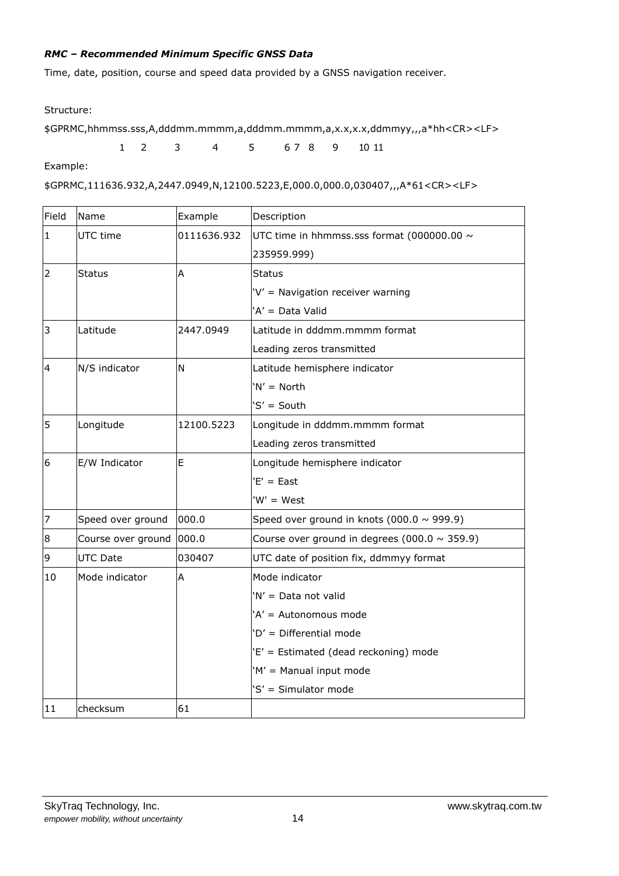#### *RMC – Recommended Minimum Specific GNSS Data*

Time, date, position, course and speed data provided by a GNSS navigation receiver.

Structure:

\$GPRMC,hhmmss.sss,A,dddmm.mmmm,a,dddmm.mmmm,a,x.x,x.x,ddmmyy,,,a\*hh<CR><LF>

1 2 3 4 5 6 7 8 9 10 11

Example:

```
$GPRMC,111636.932,A,2447.0949,N,12100.5223,E,000.0,000.0,030407,,,A*61<CR><LF>
```

| Field          | Name               | Example     | Description                                        |
|----------------|--------------------|-------------|----------------------------------------------------|
| $\mathbf{1}$   | UTC time           | 0111636.932 | UTC time in hhmmss.sss format (000000.00 $\sim$    |
|                |                    |             | 235959.999)                                        |
| $\overline{2}$ | <b>Status</b>      | A           | Status                                             |
|                |                    |             | 'V' = Navigation receiver warning                  |
|                |                    |             | 'A' = Data Valid                                   |
| 3              | Latitude           | 2447.0949   | Latitude in dddmm.mmmm format                      |
|                |                    |             | Leading zeros transmitted                          |
| $\overline{4}$ | N/S indicator      | N           | Latitude hemisphere indicator                      |
|                |                    |             | $'N' = North$                                      |
|                |                    |             | 'S' = South                                        |
| 5              | Longitude          | 12100.5223  | Longitude in dddmm.mmmm format                     |
|                |                    |             | Leading zeros transmitted                          |
| 6              | E/W Indicator      | E           | Longitude hemisphere indicator                     |
|                |                    |             | $'E' = East$                                       |
|                |                    |             | 'W' = West                                         |
| $\overline{7}$ | Speed over ground  | 000.0       | Speed over ground in knots (000.0 $\sim$ 999.9)    |
| $\bf8$         | Course over ground | 000.0       | Course over ground in degrees (000.0 $\sim$ 359.9) |
| $\overline{9}$ | <b>UTC Date</b>    | 030407      | UTC date of position fix, ddmmyy format            |
| 10             | Mode indicator     | A           | Mode indicator                                     |
|                |                    |             | 'N' = Data not valid                               |
|                |                    |             | 'A' = Autonomous mode                              |
|                |                    |             | 'D' = Differential mode                            |
|                |                    |             | 'E' = Estimated (dead reckoning) mode              |
|                |                    |             | 'M' = Manual input mode                            |
|                |                    |             | 'S' = Simulator mode                               |
| 11             | checksum           | 61          |                                                    |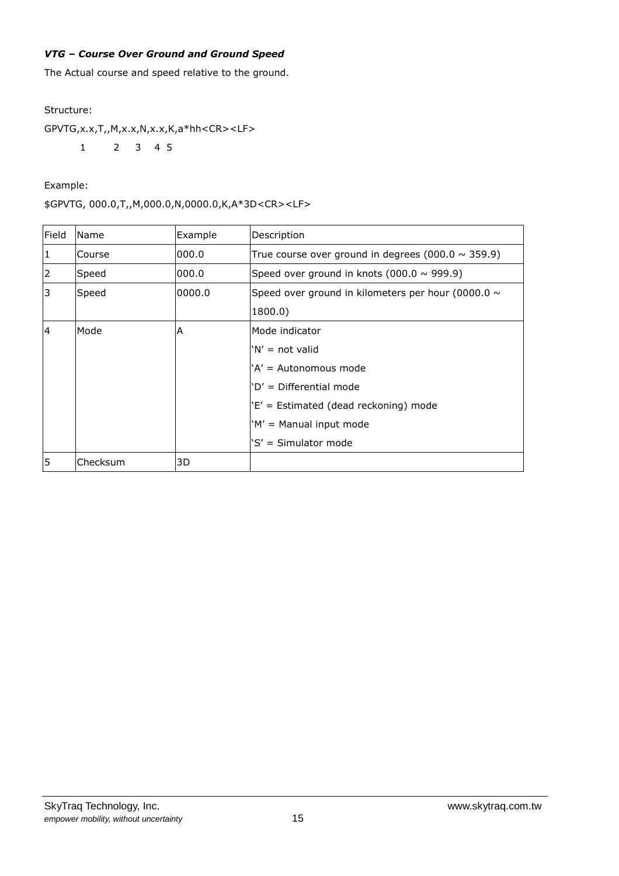#### *VTG – Course Over Ground and Ground Speed*

The Actual course and speed relative to the ground.

#### Structure:

GPVTG,x.x,T,,M,x.x,N,x.x,K,a\*hh<CR><LF>

1 2 3 4 5

Example:

#### \$GPVTG, 000.0,T,,M,000.0,N,0000.0,K,A\*3D<CR><LF>

| Field          | Name     | Example | Description                                             |
|----------------|----------|---------|---------------------------------------------------------|
|                | Course   | 000.0   | True course over ground in degrees (000.0 $\sim$ 359.9) |
| $\overline{2}$ | Speed    | 000.0   | Speed over ground in knots (000.0 $\sim$ 999.9)         |
| 3              | Speed    | 0.0000  | Speed over ground in kilometers per hour (0000.0 $\sim$ |
|                |          |         | 1800.0                                                  |
| $\overline{4}$ | Mode     | A       | Mode indicator                                          |
|                |          |         | 'N' = not valid                                         |
|                |          |         | 'A' = Autonomous mode                                   |
|                |          |         | 'D' = Differential mode                                 |
|                |          |         | $E'$ = Estimated (dead reckoning) mode                  |
|                |          |         | 'M' = Manual input mode                                 |
|                |          |         | 'S' = Simulator mode                                    |
| 5              | Checksum | 3D      |                                                         |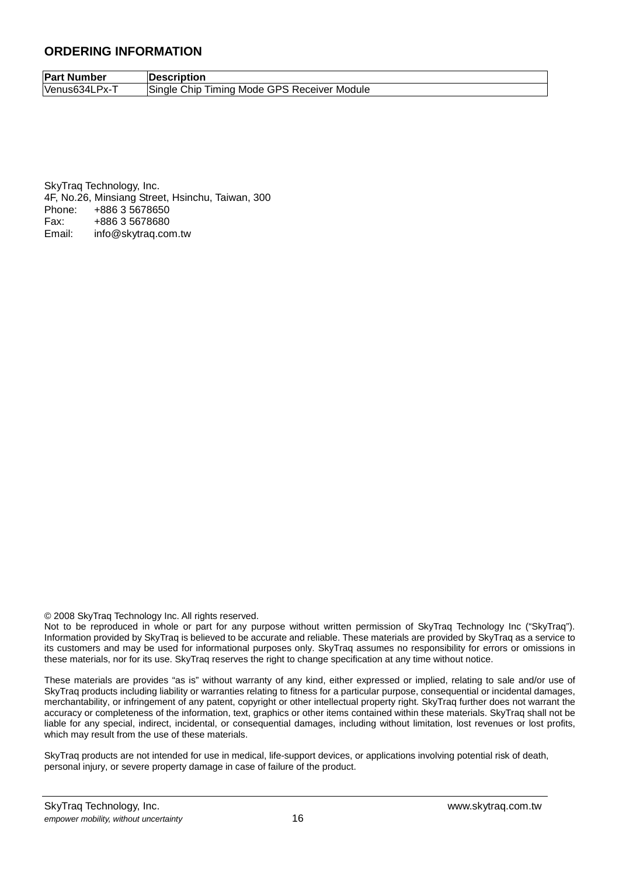#### **ORDERING INFORMATION**

**Part Number Description** Venus634LPx-T Single Chip Timing Mode GPS Receiver Module

SkyTraq Technology, Inc. 4F, No.26, Minsiang Street, Hsinchu, Taiwan, 300 Phone: +886 3 5678650 Fax: +886 3 5678680 Email: info@skytraq.com.tw

© 2008 SkyTraq Technology Inc. All rights reserved.

Not to be reproduced in whole or part for any purpose without written permission of SkyTraq Technology Inc ("SkyTraq"). Information provided by SkyTraq is believed to be accurate and reliable. These materials are provided by SkyTraq as a service to its customers and may be used for informational purposes only. SkyTraq assumes no responsibility for errors or omissions in these materials, nor for its use. SkyTraq reserves the right to change specification at any time without notice.

These materials are provides "as is" without warranty of any kind, either expressed or implied, relating to sale and/or use of SkyTraq products including liability or warranties relating to fitness for a particular purpose, consequential or incidental damages, merchantability, or infringement of any patent, copyright or other intellectual property right. SkyTraq further does not warrant the accuracy or completeness of the information, text, graphics or other items contained within these materials. SkyTraq shall not be liable for any special, indirect, incidental, or consequential damages, including without limitation, lost revenues or lost profits, which may result from the use of these materials.

SkyTraq products are not intended for use in medical, life-support devices, or applications involving potential risk of death, personal injury, or severe property damage in case of failure of the product.